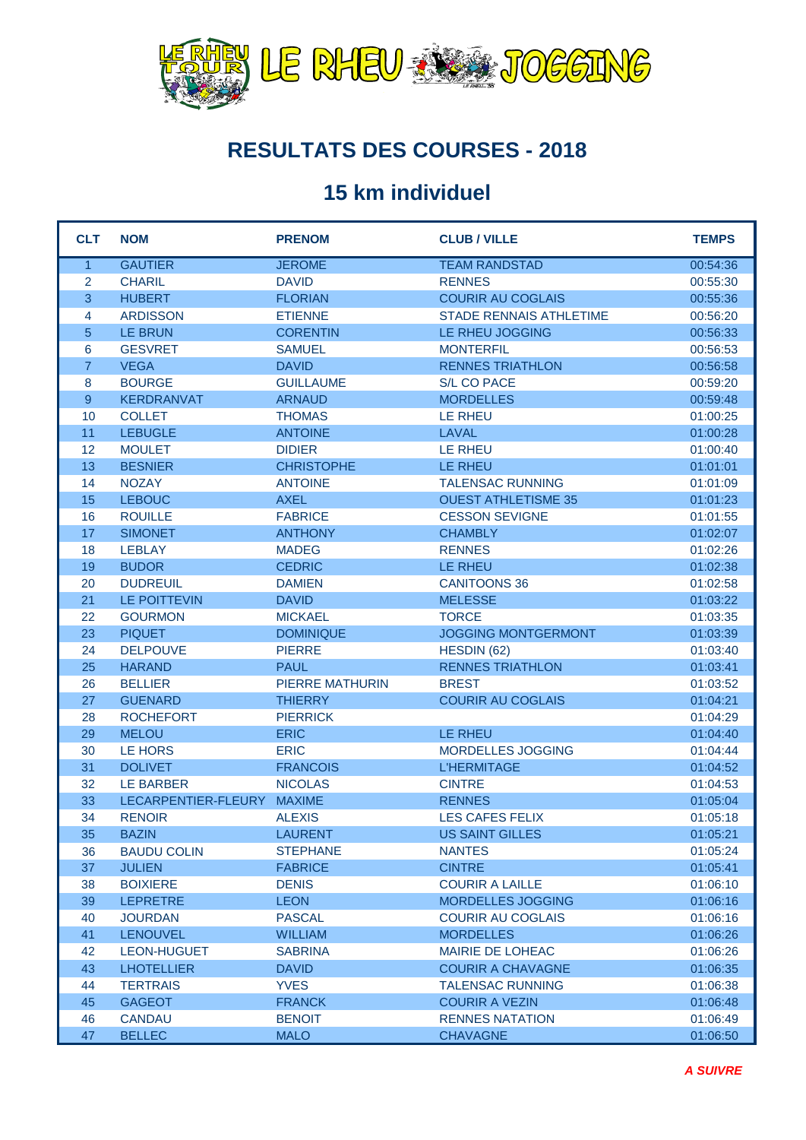

#### **RESULTATS DES COURSES - 2018**

#### **15 km individuel**

| <b>CLT</b>     | <b>NOM</b>          | <b>PRENOM</b>          | <b>CLUB / VILLE</b>            | <b>TEMPS</b> |
|----------------|---------------------|------------------------|--------------------------------|--------------|
| $\mathbf{1}$   | <b>GAUTIER</b>      | <b>JEROME</b>          | <b>TEAM RANDSTAD</b>           | 00:54:36     |
| $\overline{2}$ | <b>CHARIL</b>       | <b>DAVID</b>           | <b>RENNES</b>                  | 00:55:30     |
| 3              | <b>HUBERT</b>       | <b>FLORIAN</b>         | <b>COURIR AU COGLAIS</b>       | 00:55:36     |
| 4              | <b>ARDISSON</b>     | <b>ETIENNE</b>         | <b>STADE RENNAIS ATHLETIME</b> | 00:56:20     |
| 5              | <b>LE BRUN</b>      | <b>CORENTIN</b>        | LE RHEU JOGGING                | 00:56:33     |
| 6              | <b>GESVRET</b>      | <b>SAMUEL</b>          | <b>MONTERFIL</b>               | 00:56:53     |
| $\overline{7}$ | <b>VEGA</b>         | <b>DAVID</b>           | <b>RENNES TRIATHLON</b>        | 00:56:58     |
| 8              | <b>BOURGE</b>       | <b>GUILLAUME</b>       | S/L CO PACE                    | 00:59:20     |
| 9              | <b>KERDRANVAT</b>   | <b>ARNAUD</b>          | <b>MORDELLES</b>               | 00:59:48     |
| 10             | <b>COLLET</b>       | <b>THOMAS</b>          | <b>LE RHEU</b>                 | 01:00:25     |
| 11             | <b>LEBUGLE</b>      | <b>ANTOINE</b>         | LAVAL                          | 01:00:28     |
| 12             | <b>MOULET</b>       | <b>DIDIER</b>          | LE RHEU                        | 01:00:40     |
| 13             | <b>BESNIER</b>      | <b>CHRISTOPHE</b>      | <b>LE RHEU</b>                 | 01:01:01     |
| 14             | <b>NOZAY</b>        | <b>ANTOINE</b>         | <b>TALENSAC RUNNING</b>        | 01:01:09     |
| 15             | <b>LEBOUC</b>       | <b>AXEL</b>            | <b>OUEST ATHLETISME 35</b>     | 01:01:23     |
| 16             | <b>ROUILLE</b>      | <b>FABRICE</b>         | <b>CESSON SEVIGNE</b>          | 01:01:55     |
| 17             | <b>SIMONET</b>      | <b>ANTHONY</b>         | <b>CHAMBLY</b>                 | 01:02:07     |
| 18             | <b>LEBLAY</b>       | <b>MADEG</b>           | <b>RENNES</b>                  | 01:02:26     |
| 19             | <b>BUDOR</b>        | <b>CEDRIC</b>          | LE RHEU                        | 01:02:38     |
| 20             | <b>DUDREUIL</b>     | <b>DAMIEN</b>          | <b>CANITOONS 36</b>            | 01:02:58     |
| 21             | LE POITTEVIN        | <b>DAVID</b>           | <b>MELESSE</b>                 | 01:03:22     |
| 22             | <b>GOURMON</b>      | <b>MICKAEL</b>         | <b>TORCE</b>                   | 01:03:35     |
| 23             | <b>PIQUET</b>       | <b>DOMINIQUE</b>       | <b>JOGGING MONTGERMONT</b>     | 01:03:39     |
| 24             | <b>DELPOUVE</b>     | <b>PIERRE</b>          | HESDIN (62)                    | 01:03:40     |
| 25             | <b>HARAND</b>       | <b>PAUL</b>            | <b>RENNES TRIATHLON</b>        | 01:03:41     |
| 26             | <b>BELLIER</b>      | <b>PIERRE MATHURIN</b> | <b>BREST</b>                   | 01:03:52     |
| 27             | <b>GUENARD</b>      | <b>THIERRY</b>         | <b>COURIR AU COGLAIS</b>       | 01:04:21     |
| 28             | <b>ROCHEFORT</b>    | <b>PIERRICK</b>        |                                | 01:04:29     |
| 29             | <b>MELOU</b>        | <b>ERIC</b>            | <b>LE RHEU</b>                 | 01:04:40     |
| 30             | LE HORS             | <b>ERIC</b>            | MORDELLES JOGGING              | 01:04:44     |
| 31             | <b>DOLIVET</b>      | <b>FRANCOIS</b>        | <b>L'HERMITAGE</b>             | 01:04:52     |
| 32             | <b>LE BARBER</b>    | <b>NICOLAS</b>         | <b>CINTRE</b>                  | 01:04:53     |
| 33             | LECARPENTIER-FLEURY | <b>MAXIME</b>          | <b>RENNES</b>                  | 01:05:04     |
| 34             | <b>RENOIR</b>       | <b>ALEXIS</b>          | LES CAFES FELIX                | 01:05:18     |
| 35             | <b>BAZIN</b>        | <b>LAURENT</b>         | US SAINT GILLES                | 01:05:21     |
| 36             | <b>BAUDU COLIN</b>  | <b>STEPHANE</b>        | <b>NANTES</b>                  | 01:05:24     |
| 37             | <b>JULIEN</b>       | <b>FABRICE</b>         | <b>CINTRE</b>                  | 01:05:41     |
| 38             | <b>BOIXIERE</b>     | <b>DENIS</b>           | <b>COURIR A LAILLE</b>         | 01:06:10     |
| 39             | <b>LEPRETRE</b>     | <b>LEON</b>            | <b>MORDELLES JOGGING</b>       | 01:06:16     |
| 40             | <b>JOURDAN</b>      | <b>PASCAL</b>          | <b>COURIR AU COGLAIS</b>       | 01:06:16     |
| 41             | <b>LENOUVEL</b>     | <b>WILLIAM</b>         | <b>MORDELLES</b>               | 01:06:26     |
| 42             | <b>LEON-HUGUET</b>  | <b>SABRINA</b>         | <b>MAIRIE DE LOHEAC</b>        | 01:06:26     |
| 43             | <b>LHOTELLIER</b>   | <b>DAVID</b>           | <b>COURIR A CHAVAGNE</b>       | 01:06:35     |
| 44             | <b>TERTRAIS</b>     | <b>YVES</b>            | <b>TALENSAC RUNNING</b>        | 01:06:38     |
| 45             | <b>GAGEOT</b>       | <b>FRANCK</b>          | <b>COURIR A VEZIN</b>          | 01:06:48     |
| 46             | <b>CANDAU</b>       | <b>BENOIT</b>          | <b>RENNES NATATION</b>         | 01:06:49     |
| 47             | <b>BELLEC</b>       | <b>MALO</b>            | <b>CHAVAGNE</b>                | 01:06:50     |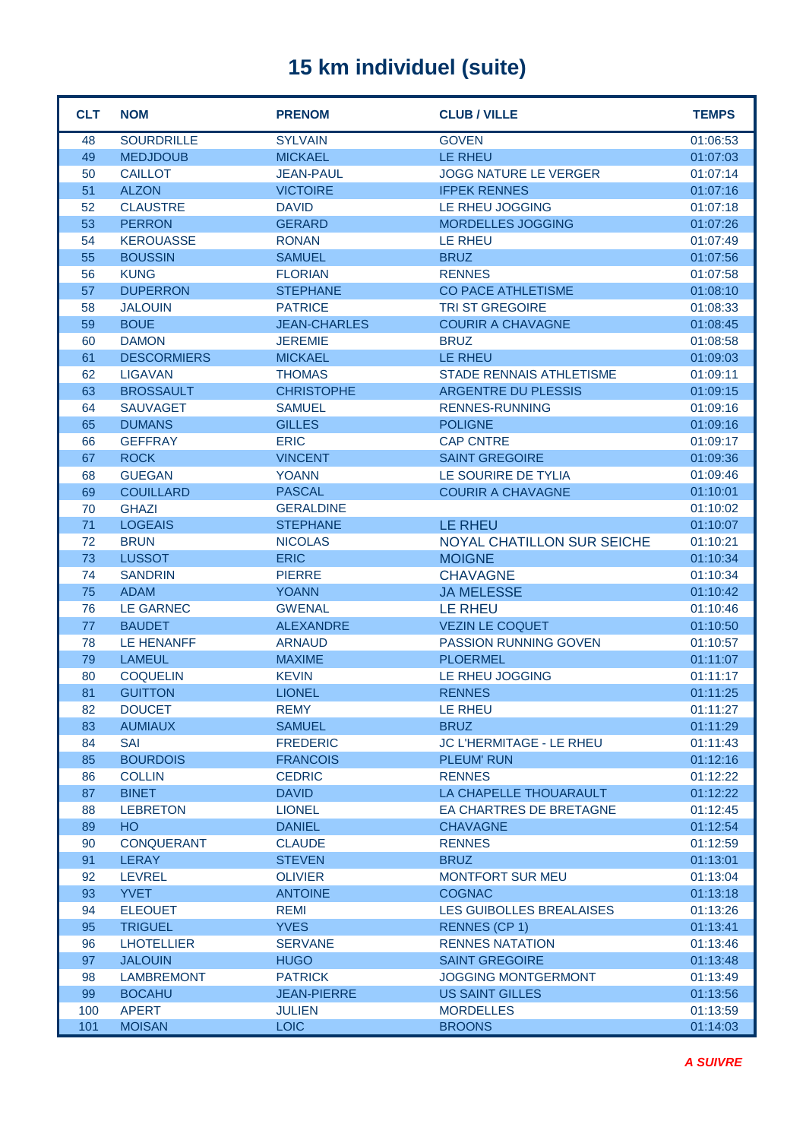| <b>CLT</b> | <b>NOM</b>                       | <b>PRENOM</b>                 | <b>CLUB / VILLE</b>                | <b>TEMPS</b>         |
|------------|----------------------------------|-------------------------------|------------------------------------|----------------------|
| 48         | <b>SOURDRILLE</b>                | <b>SYLVAIN</b>                | <b>GOVEN</b>                       | 01:06:53             |
| 49         | <b>MEDJDOUB</b>                  | <b>MICKAEL</b>                | LE RHEU                            | 01:07:03             |
| 50         | <b>CAILLOT</b>                   | <b>JEAN-PAUL</b>              | <b>JOGG NATURE LE VERGER</b>       | 01:07:14             |
| 51         | <b>ALZON</b>                     | <b>VICTOIRE</b>               | <b>IFPEK RENNES</b>                | 01:07:16             |
| 52         | <b>CLAUSTRE</b>                  | <b>DAVID</b>                  | LE RHEU JOGGING                    | 01:07:18             |
| 53         | <b>PERRON</b>                    | <b>GERARD</b>                 | <b>MORDELLES JOGGING</b>           | 01:07:26             |
| 54         | <b>KEROUASSE</b>                 | <b>RONAN</b>                  | LE RHEU                            | 01:07:49             |
| 55         | <b>BOUSSIN</b>                   | <b>SAMUEL</b>                 | <b>BRUZ</b>                        | 01:07:56             |
| 56         | <b>KUNG</b>                      | <b>FLORIAN</b>                | <b>RENNES</b>                      | 01:07:58             |
| 57         | <b>DUPERRON</b>                  | <b>STEPHANE</b>               | <b>CO PACE ATHLETISME</b>          | 01:08:10             |
| 58         | <b>JALOUIN</b>                   | <b>PATRICE</b>                | <b>TRI ST GREGOIRE</b>             | 01:08:33             |
| 59         | <b>BOUE</b>                      | <b>JEAN-CHARLES</b>           | <b>COURIR A CHAVAGNE</b>           | 01:08:45             |
| 60         | <b>DAMON</b>                     | <b>JEREMIE</b>                | <b>BRUZ</b>                        | 01:08:58             |
| 61         | <b>DESCORMIERS</b>               | <b>MICKAEL</b>                | LE RHEU                            | 01:09:03             |
| 62         | <b>LIGAVAN</b>                   | <b>THOMAS</b>                 | <b>STADE RENNAIS ATHLETISME</b>    | 01:09:11             |
| 63         | <b>BROSSAULT</b>                 | <b>CHRISTOPHE</b>             | ARGENTRE DU PLESSIS                | 01:09:15             |
| 64         | <b>SAUVAGET</b>                  | <b>SAMUEL</b>                 | <b>RENNES-RUNNING</b>              | 01:09:16             |
| 65         | <b>DUMANS</b>                    | <b>GILLES</b>                 | <b>POLIGNE</b>                     | 01:09:16             |
| 66         | <b>GEFFRAY</b>                   | <b>ERIC</b>                   | <b>CAP CNTRE</b>                   | 01:09:17             |
| 67         | <b>ROCK</b>                      | <b>VINCENT</b>                | <b>SAINT GREGOIRE</b>              | 01:09:36             |
| 68         | <b>GUEGAN</b>                    | <b>YOANN</b>                  | LE SOURIRE DE TYLIA                | 01:09:46             |
| 69         | <b>COUILLARD</b>                 | <b>PASCAL</b>                 | <b>COURIR A CHAVAGNE</b>           | 01:10:01             |
| 70         | <b>GHAZI</b>                     | <b>GERALDINE</b>              |                                    | 01:10:02             |
| 71         | <b>LOGEAIS</b>                   | <b>STEPHANE</b>               | <b>LE RHEU</b>                     | 01:10:07             |
| 72         | <b>BRUN</b>                      | <b>NICOLAS</b>                | <b>NOYAL CHATILLON SUR SEICHE</b>  | 01:10:21             |
| 73         | <b>LUSSOT</b>                    | <b>ERIC</b>                   | <b>MOIGNE</b>                      | 01:10:34             |
| 74         | <b>SANDRIN</b>                   | <b>PIERRE</b>                 | <b>CHAVAGNE</b>                    | 01:10:34             |
| 75         | <b>ADAM</b>                      | <b>YOANN</b>                  | <b>JA MELESSE</b>                  | 01:10:42             |
| 76         | <b>LE GARNEC</b>                 | <b>GWENAL</b>                 | <b>LE RHEU</b>                     | 01:10:46             |
| 77         | <b>BAUDET</b>                    | <b>ALEXANDRE</b>              | <b>VEZIN LE COQUET</b>             | 01:10:50             |
| 78         | <b>LE HENANFF</b>                | <b>ARNAUD</b>                 | PASSION RUNNING GOVEN              | 01:10:57             |
| 79<br>80   | <b>LAMEUL</b><br><b>COQUELIN</b> | <b>MAXIME</b><br><b>KEVIN</b> | <b>PLOERMEL</b><br>LE RHEU JOGGING | 01:11:07             |
|            |                                  | <b>LIONEL</b>                 |                                    | 01:11:17             |
| 81<br>82   | <b>GUITTON</b><br><b>DOUCET</b>  | <b>REMY</b>                   | <b>RENNES</b><br>LE RHEU           | 01:11:25<br>01:11:27 |
| 83         | <b>AUMIAUX</b>                   | <b>SAMUEL</b>                 | <b>BRUZ</b>                        | 01:11:29             |
| 84         | <b>SAI</b>                       | <b>FREDERIC</b>               | <b>JC L'HERMITAGE - LE RHEU</b>    | 01:11:43             |
| 85         | <b>BOURDOIS</b>                  | <b>FRANCOIS</b>               | <b>PLEUM' RUN</b>                  | 01:12:16             |
| 86         | <b>COLLIN</b>                    | <b>CEDRIC</b>                 | <b>RENNES</b>                      | 01:12:22             |
| 87         | <b>BINET</b>                     | <b>DAVID</b>                  | LA CHAPELLE THOUARAULT             | 01:12:22             |
| 88         | <b>LEBRETON</b>                  | <b>LIONEL</b>                 | EA CHARTRES DE BRETAGNE            | 01:12:45             |
| 89         | <b>HO</b>                        | <b>DANIEL</b>                 | <b>CHAVAGNE</b>                    | 01:12:54             |
| 90         | <b>CONQUERANT</b>                | <b>CLAUDE</b>                 | <b>RENNES</b>                      | 01:12:59             |
| 91         | <b>LERAY</b>                     | <b>STEVEN</b>                 | <b>BRUZ</b>                        | 01:13:01             |
| 92         | <b>LEVREL</b>                    | <b>OLIVIER</b>                | <b>MONTFORT SUR MEU</b>            | 01:13:04             |
| 93         | <b>YVET</b>                      | <b>ANTOINE</b>                | <b>COGNAC</b>                      | 01:13:18             |
| 94         | <b>ELEOUET</b>                   | <b>REMI</b>                   | LES GUIBOLLES BREALAISES           | 01:13:26             |
| 95         | <b>TRIGUEL</b>                   | <b>YVES</b>                   | <b>RENNES (CP 1)</b>               | 01:13:41             |
| 96         | <b>LHOTELLIER</b>                | <b>SERVANE</b>                | <b>RENNES NATATION</b>             | 01:13:46             |
| 97         | <b>JALOUIN</b>                   | <b>HUGO</b>                   | <b>SAINT GREGOIRE</b>              | 01:13:48             |
| 98         | <b>LAMBREMONT</b>                | <b>PATRICK</b>                | <b>JOGGING MONTGERMONT</b>         | 01:13:49             |
| 99         | <b>BOCAHU</b>                    | <b>JEAN-PIERRE</b>            | <b>US SAINT GILLES</b>             | 01:13:56             |
| 100        | <b>APERT</b>                     | <b>JULIEN</b>                 | <b>MORDELLES</b>                   | 01:13:59             |
| 101        | <b>MOISAN</b>                    | <b>LOIC</b>                   | <b>BROONS</b>                      | 01:14:03             |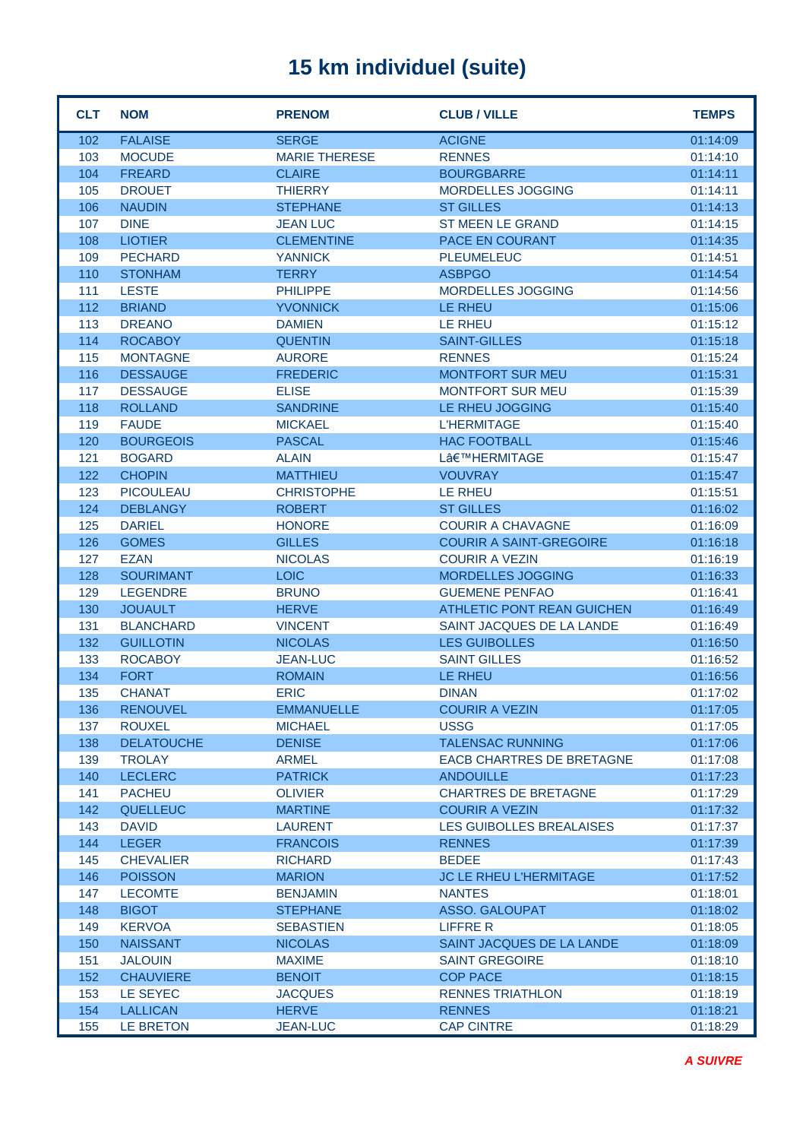| <b>CLT</b> | <b>NOM</b>                  | <b>PRENOM</b>                 | <b>CLUB / VILLE</b>                                     | <b>TEMPS</b>         |
|------------|-----------------------------|-------------------------------|---------------------------------------------------------|----------------------|
| 102        | <b>FALAISE</b>              | <b>SERGE</b>                  | <b>ACIGNE</b>                                           | 01:14:09             |
| 103        | <b>MOCUDE</b>               | <b>MARIE THERESE</b>          | <b>RENNES</b>                                           | 01:14:10             |
| 104        | <b>FREARD</b>               | <b>CLAIRE</b>                 | <b>BOURGBARRE</b>                                       | 01:14:11             |
| 105        | <b>DROUET</b>               | <b>THIERRY</b>                | MORDELLES JOGGING                                       | 01:14:11             |
| 106        | <b>NAUDIN</b>               | <b>STEPHANE</b>               | <b>ST GILLES</b>                                        | 01:14:13             |
| 107        | <b>DINE</b>                 | <b>JEAN LUC</b>               | <b>ST MEEN LE GRAND</b>                                 | 01:14:15             |
| 108        | <b>LIOTIER</b>              | <b>CLEMENTINE</b>             | PACE EN COURANT                                         | 01:14:35             |
| 109        | <b>PECHARD</b>              | <b>YANNICK</b>                | <b>PLEUMELEUC</b>                                       | 01:14:51             |
| 110        | <b>STONHAM</b>              | <b>TERRY</b>                  | <b>ASBPGO</b>                                           | 01:14:54             |
| 111        | <b>LESTE</b>                | <b>PHILIPPE</b>               | MORDELLES JOGGING                                       | 01:14:56             |
| 112        | <b>BRIAND</b>               | <b>YVONNICK</b>               | LE RHEU                                                 | 01:15:06             |
| 113        | <b>DREANO</b>               | <b>DAMIEN</b>                 | LE RHEU                                                 | 01:15:12             |
| 114        | <b>ROCABOY</b>              | <b>QUENTIN</b>                | <b>SAINT-GILLES</b>                                     | 01:15:18             |
| 115        | <b>MONTAGNE</b>             | <b>AURORE</b>                 | <b>RENNES</b>                                           | 01:15:24             |
| 116        | <b>DESSAUGE</b>             | <b>FREDERIC</b>               | <b>MONTFORT SUR MEU</b>                                 | 01:15:31             |
| 117        | <b>DESSAUGE</b>             | <b>ELISE</b>                  | <b>MONTFORT SUR MEU</b>                                 | 01:15:39             |
| 118        | <b>ROLLAND</b>              | <b>SANDRINE</b>               | LE RHEU JOGGING                                         | 01:15:40             |
| 119        | <b>FAUDE</b>                | <b>MICKAEL</b>                | <b>L'HERMITAGE</b>                                      | 01:15:40             |
| 120        | <b>BOURGEOIS</b>            | <b>PASCAL</b>                 | <b>HAC FOOTBALL</b>                                     | 01:15:46             |
| 121        | <b>BOGARD</b>               | <b>ALAIN</b>                  | L'HERMITAGE                                             | 01:15:47             |
| 122        | <b>CHOPIN</b>               | <b>MATTHIEU</b>               | <b>VOUVRAY</b>                                          | 01:15:47             |
| 123        | <b>PICOULEAU</b>            | <b>CHRISTOPHE</b>             | <b>LE RHEU</b>                                          | 01:15:51             |
| 124        | <b>DEBLANGY</b>             | <b>ROBERT</b>                 | <b>ST GILLES</b>                                        | 01:16:02             |
| 125        | <b>DARIEL</b>               | <b>HONORE</b>                 | <b>COURIR A CHAVAGNE</b>                                | 01:16:09             |
| 126        | <b>GOMES</b><br><b>EZAN</b> | <b>GILLES</b>                 | <b>COURIR A SAINT-GREGOIRE</b><br><b>COURIR A VEZIN</b> | 01:16:18             |
| 127<br>128 | <b>SOURIMANT</b>            | <b>NICOLAS</b><br><b>LOIC</b> | MORDELLES JOGGING                                       | 01:16:19<br>01:16:33 |
| 129        | <b>LEGENDRE</b>             | <b>BRUNO</b>                  | <b>GUEMENE PENFAO</b>                                   | 01:16:41             |
| 130        | <b>JOUAULT</b>              | <b>HERVE</b>                  | <b>ATHLETIC PONT REAN GUICHEN</b>                       | 01:16:49             |
| 131        | <b>BLANCHARD</b>            | <b>VINCENT</b>                | SAINT JACQUES DE LA LANDE                               | 01:16:49             |
| 132        | <b>GUILLOTIN</b>            | <b>NICOLAS</b>                | <b>LES GUIBOLLES</b>                                    | 01:16:50             |
| 133        | <b>ROCABOY</b>              | <b>JEAN-LUC</b>               | <b>SAINT GILLES</b>                                     | 01:16:52             |
| 134        | <b>FORT</b>                 | <b>ROMAIN</b>                 | LE RHEU                                                 | 01:16:56             |
| 135        | <b>CHANAT</b>               | <b>ERIC</b>                   | <b>DINAN</b>                                            | 01:17:02             |
| 136        | <b>RENOUVEL</b>             | <b>EMMANUELLE</b>             | <b>COURIR A VEZIN</b>                                   | 01:17:05             |
| 137        | <b>ROUXEL</b>               | <b>MICHAEL</b>                | <b>USSG</b>                                             | 01:17:05             |
| 138        | <b>DELATOUCHE</b>           | <b>DENISE</b>                 | <b>TALENSAC RUNNING</b>                                 | 01:17:06             |
| 139        | <b>TROLAY</b>               | <b>ARMEL</b>                  | <b>EACB CHARTRES DE BRETAGNE</b>                        | 01:17:08             |
| 140        | <b>LECLERC</b>              | <b>PATRICK</b>                | <b>ANDOUILLE</b>                                        | 01:17:23             |
| 141        | <b>PACHEU</b>               | <b>OLIVIER</b>                | <b>CHARTRES DE BRETAGNE</b>                             | 01:17:29             |
| 142        | <b>QUELLEUC</b>             | <b>MARTINE</b>                | <b>COURIR A VEZIN</b>                                   | 01:17:32             |
| 143        | <b>DAVID</b>                | <b>LAURENT</b>                | LES GUIBOLLES BREALAISES                                | 01:17:37             |
| 144        | <b>LEGER</b>                | <b>FRANCOIS</b>               | <b>RENNES</b>                                           | 01:17:39             |
| 145        | <b>CHEVALIER</b>            | <b>RICHARD</b>                | <b>BEDEE</b>                                            | 01:17:43             |
| 146        | <b>POISSON</b>              | <b>MARION</b>                 | <b>JC LE RHEU L'HERMITAGE</b>                           | 01:17:52             |
| 147        | <b>LECOMTE</b>              | <b>BENJAMIN</b>               | <b>NANTES</b>                                           | 01:18:01             |
| 148        | <b>BIGOT</b>                | <b>STEPHANE</b>               | <b>ASSO. GALOUPAT</b>                                   | 01:18:02             |
| 149        | <b>KERVOA</b>               | <b>SEBASTIEN</b>              | <b>LIFFRE R</b>                                         | 01:18:05             |
| 150        | <b>NAISSANT</b>             | <b>NICOLAS</b>                | SAINT JACQUES DE LA LANDE                               | 01:18:09             |
| 151        | <b>JALOUIN</b>              | <b>MAXIME</b>                 | <b>SAINT GREGOIRE</b>                                   | 01:18:10             |
| 152        | <b>CHAUVIERE</b>            | <b>BENOIT</b>                 | <b>COP PACE</b>                                         | 01:18:15             |
| 153        | LE SEYEC                    | <b>JACQUES</b>                | <b>RENNES TRIATHLON</b>                                 | 01:18:19             |
| 154        | <b>LALLICAN</b>             | <b>HERVE</b>                  | <b>RENNES</b>                                           | 01:18:21             |
| 155        | LE BRETON                   | <b>JEAN-LUC</b>               | <b>CAP CINTRE</b>                                       | 01:18:29             |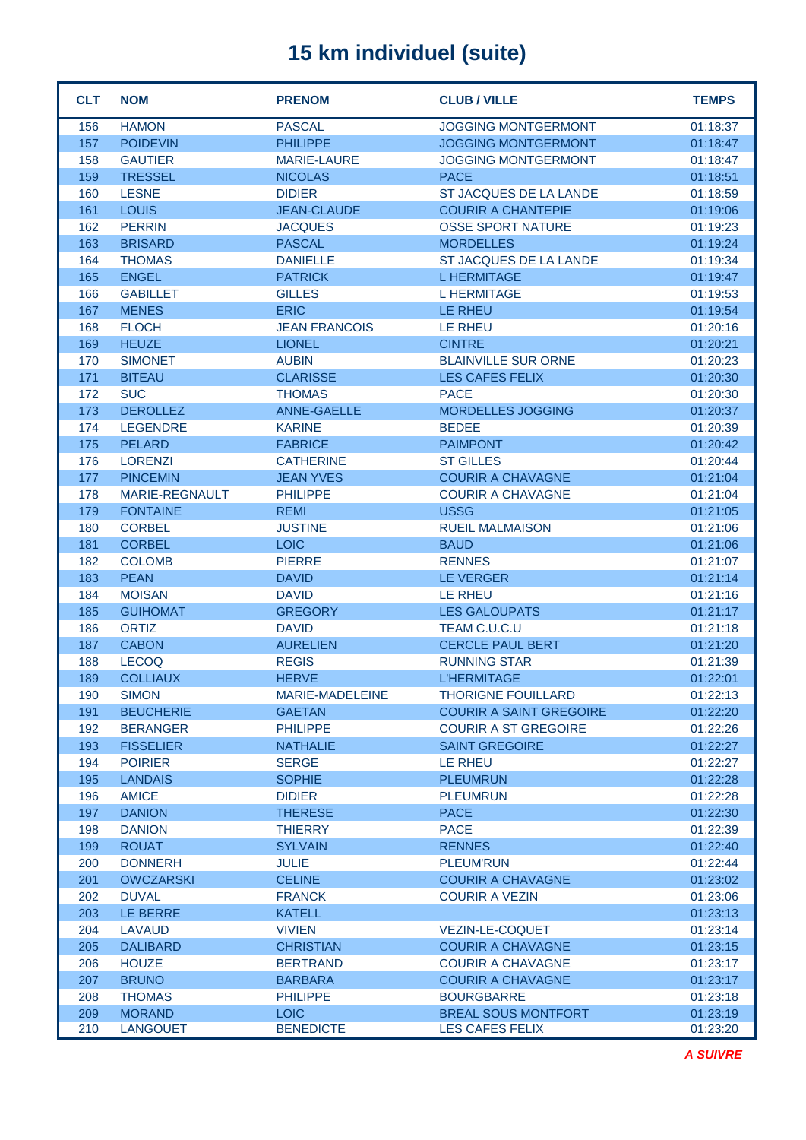| <b>CLT</b> | <b>NOM</b>            | <b>PRENOM</b>        | <b>CLUB / VILLE</b>            | <b>TEMPS</b> |
|------------|-----------------------|----------------------|--------------------------------|--------------|
| 156        | <b>HAMON</b>          | <b>PASCAL</b>        | <b>JOGGING MONTGERMONT</b>     | 01:18:37     |
| 157        | <b>POIDEVIN</b>       | <b>PHILIPPE</b>      | <b>JOGGING MONTGERMONT</b>     | 01:18:47     |
| 158        | <b>GAUTIER</b>        | <b>MARIE-LAURE</b>   | <b>JOGGING MONTGERMONT</b>     | 01:18:47     |
| 159        | <b>TRESSEL</b>        | <b>NICOLAS</b>       | <b>PACE</b>                    | 01:18:51     |
| 160        | <b>LESNE</b>          | <b>DIDIER</b>        | ST JACQUES DE LA LANDE         | 01:18:59     |
| 161        | <b>LOUIS</b>          | <b>JEAN-CLAUDE</b>   | <b>COURIR A CHANTEPIE</b>      | 01:19:06     |
| 162        | <b>PERRIN</b>         | <b>JACQUES</b>       | <b>OSSE SPORT NATURE</b>       | 01:19:23     |
| 163        | <b>BRISARD</b>        | <b>PASCAL</b>        | <b>MORDELLES</b>               | 01:19:24     |
| 164        | <b>THOMAS</b>         | <b>DANIELLE</b>      | <b>ST JACQUES DE LA LANDE</b>  | 01:19:34     |
| 165        | <b>ENGEL</b>          | <b>PATRICK</b>       | <b>LHERMITAGE</b>              | 01:19:47     |
| 166        | <b>GABILLET</b>       | <b>GILLES</b>        | <b>L HERMITAGE</b>             | 01:19:53     |
| 167        | <b>MENES</b>          | <b>ERIC</b>          | <b>LE RHEU</b>                 | 01:19:54     |
| 168        | <b>FLOCH</b>          | <b>JEAN FRANCOIS</b> | LE RHEU                        | 01:20:16     |
| 169        | <b>HEUZE</b>          | <b>LIONEL</b>        | <b>CINTRE</b>                  | 01:20:21     |
| 170        | <b>SIMONET</b>        | <b>AUBIN</b>         | <b>BLAINVILLE SUR ORNE</b>     | 01:20:23     |
| 171        | <b>BITEAU</b>         | <b>CLARISSE</b>      | <b>LES CAFES FELIX</b>         | 01:20:30     |
| 172        | <b>SUC</b>            | <b>THOMAS</b>        | <b>PACE</b>                    | 01:20:30     |
| 173        | <b>DEROLLEZ</b>       | <b>ANNE-GAELLE</b>   | <b>MORDELLES JOGGING</b>       | 01:20:37     |
| 174        | <b>LEGENDRE</b>       | <b>KARINE</b>        | <b>BEDEE</b>                   | 01:20:39     |
| 175        | <b>PELARD</b>         | <b>FABRICE</b>       | <b>PAIMPONT</b>                | 01:20:42     |
| 176        | <b>LORENZI</b>        | <b>CATHERINE</b>     | <b>ST GILLES</b>               | 01:20:44     |
| 177        | <b>PINCEMIN</b>       | <b>JEAN YVES</b>     | <b>COURIR A CHAVAGNE</b>       | 01:21:04     |
| 178        | <b>MARIE-REGNAULT</b> | <b>PHILIPPE</b>      | <b>COURIR A CHAVAGNE</b>       | 01:21:04     |
| 179        | <b>FONTAINE</b>       | <b>REMI</b>          | <b>USSG</b>                    | 01:21:05     |
| 180        | <b>CORBEL</b>         | <b>JUSTINE</b>       | <b>RUEIL MALMAISON</b>         | 01:21:06     |
| 181        | <b>CORBEL</b>         | <b>LOIC</b>          | <b>BAUD</b>                    | 01:21:06     |
| 182        | <b>COLOMB</b>         | <b>PIERRE</b>        | <b>RENNES</b>                  | 01:21:07     |
| 183        | <b>PEAN</b>           | <b>DAVID</b>         | <b>LE VERGER</b>               | 01:21:14     |
| 184        | <b>MOISAN</b>         | <b>DAVID</b>         | <b>LE RHEU</b>                 | 01:21:16     |
| 185        | <b>GUIHOMAT</b>       | <b>GREGORY</b>       | <b>LES GALOUPATS</b>           | 01:21:17     |
| 186        | <b>ORTIZ</b>          | <b>DAVID</b>         | TEAM C.U.C.U                   | 01:21:18     |
| 187        | <b>CABON</b>          | <b>AURELIEN</b>      | <b>CERCLE PAUL BERT</b>        | 01:21:20     |
| 188        | <b>LECOQ</b>          | <b>REGIS</b>         | <b>RUNNING STAR</b>            | 01:21:39     |
| 189        | <b>COLLIAUX</b>       | <b>HERVE</b>         | <b>L'HERMITAGE</b>             | 01:22:01     |
| 190        | SIMON                 | MARIE-MADELEINE      | THORIGNE FOUILLARD             | 01:22:13     |
| 191        | <b>BEUCHERIE</b>      | <b>GAETAN</b>        | <b>COURIR A SAINT GREGOIRE</b> | 01:22:20     |
| 192        | <b>BERANGER</b>       | <b>PHILIPPE</b>      | <b>COURIR A ST GREGOIRE</b>    | 01:22:26     |
| 193        | <b>FISSELIER</b>      | <b>NATHALIE</b>      | <b>SAINT GREGOIRE</b>          | 01:22:27     |
| 194        | <b>POIRIER</b>        | <b>SERGE</b>         | LE RHEU                        | 01:22:27     |
| 195        | <b>LANDAIS</b>        | <b>SOPHIE</b>        | <b>PLEUMRUN</b>                | 01:22:28     |
| 196        | <b>AMICE</b>          | <b>DIDIER</b>        | <b>PLEUMRUN</b>                | 01:22:28     |
| 197        | <b>DANION</b>         | <b>THERESE</b>       | <b>PACE</b>                    | 01:22:30     |
| 198        | <b>DANION</b>         | <b>THIERRY</b>       | <b>PACE</b>                    | 01:22:39     |
| 199        | <b>ROUAT</b>          | <b>SYLVAIN</b>       | <b>RENNES</b>                  | 01:22:40     |
| 200        | <b>DONNERH</b>        | <b>JULIE</b>         | <b>PLEUM'RUN</b>               | 01:22:44     |
| 201        | <b>OWCZARSKI</b>      | <b>CELINE</b>        | <b>COURIR A CHAVAGNE</b>       | 01:23:02     |
| 202        | <b>DUVAL</b>          | <b>FRANCK</b>        | <b>COURIR A VEZIN</b>          | 01:23:06     |
| 203        | LE BERRE              | <b>KATELL</b>        |                                | 01:23:13     |
| 204        | LAVAUD                | <b>VIVIEN</b>        | <b>VEZIN-LE-COQUET</b>         | 01:23:14     |
| 205        | <b>DALIBARD</b>       | <b>CHRISTIAN</b>     | <b>COURIR A CHAVAGNE</b>       | 01:23:15     |
| 206        | <b>HOUZE</b>          | <b>BERTRAND</b>      | <b>COURIR A CHAVAGNE</b>       | 01:23:17     |
| 207        | <b>BRUNO</b>          | <b>BARBARA</b>       | <b>COURIR A CHAVAGNE</b>       | 01:23:17     |
| 208        | <b>THOMAS</b>         | <b>PHILIPPE</b>      | <b>BOURGBARRE</b>              | 01:23:18     |
| 209        | <b>MORAND</b>         | <b>LOIC</b>          | <b>BREAL SOUS MONTFORT</b>     | 01:23:19     |
| 210        | <b>LANGOUET</b>       | <b>BENEDICTE</b>     | LES CAFES FELIX                | 01:23:20     |

*A SUIVRE*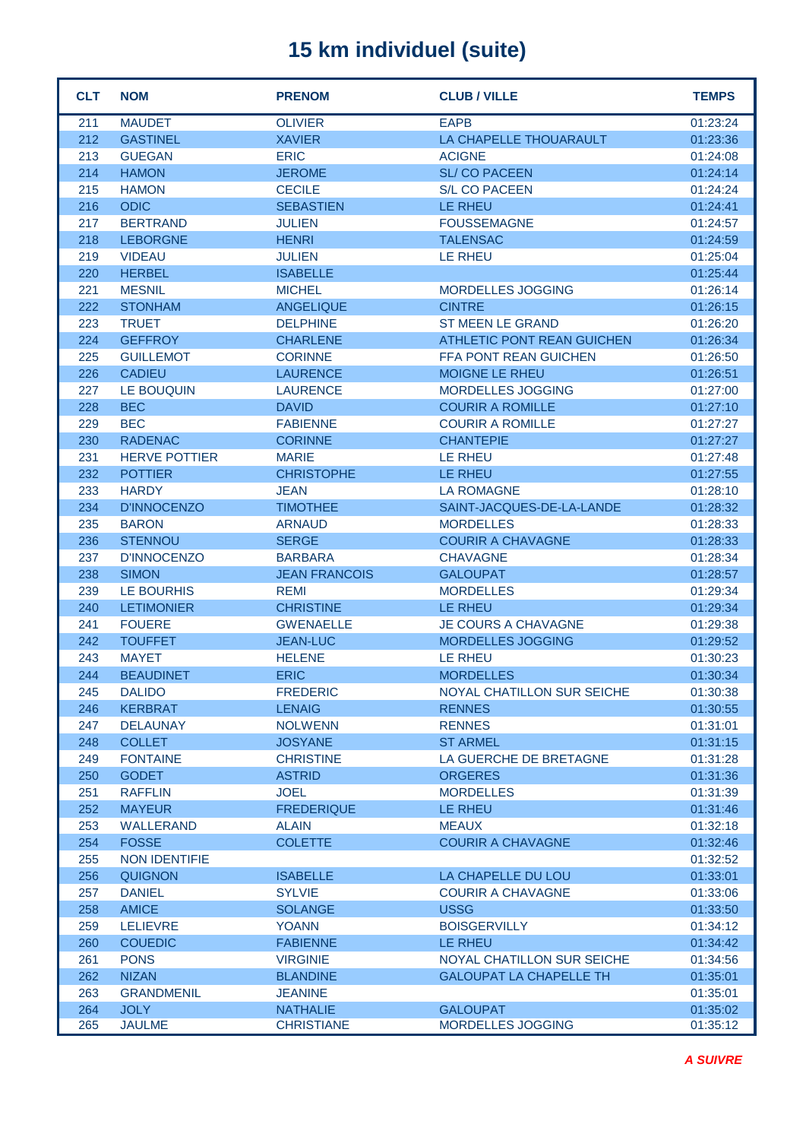| <b>CLT</b> | <b>NOM</b>           | <b>PRENOM</b>        | <b>CLUB / VILLE</b>               | <b>TEMPS</b> |
|------------|----------------------|----------------------|-----------------------------------|--------------|
| 211        | <b>MAUDET</b>        | <b>OLIVIER</b>       | <b>EAPB</b>                       | 01:23:24     |
| 212        | <b>GASTINEL</b>      | <b>XAVIER</b>        | LA CHAPELLE THOUARAULT            | 01:23:36     |
| 213        | <b>GUEGAN</b>        | <b>ERIC</b>          | <b>ACIGNE</b>                     | 01:24:08     |
| 214        | <b>HAMON</b>         | <b>JEROME</b>        | <b>SL/CO PACEEN</b>               | 01:24:14     |
| 215        | <b>HAMON</b>         | <b>CECILE</b>        | <b>S/L CO PACEEN</b>              | 01:24:24     |
| 216        | <b>ODIC</b>          | <b>SEBASTIEN</b>     | <b>LE RHEU</b>                    | 01:24:41     |
| 217        | <b>BERTRAND</b>      | <b>JULIEN</b>        | <b>FOUSSEMAGNE</b>                | 01:24:57     |
| 218        | <b>LEBORGNE</b>      | <b>HENRI</b>         | <b>TALENSAC</b>                   | 01:24:59     |
| 219        | <b>VIDEAU</b>        | <b>JULIEN</b>        | <b>LE RHEU</b>                    | 01:25:04     |
| 220        | <b>HERBEL</b>        | <b>ISABELLE</b>      |                                   | 01:25:44     |
| 221        | <b>MESNIL</b>        | <b>MICHEL</b>        | <b>MORDELLES JOGGING</b>          | 01:26:14     |
| 222        | <b>STONHAM</b>       | <b>ANGELIQUE</b>     | <b>CINTRE</b>                     | 01:26:15     |
| 223        | <b>TRUET</b>         | <b>DELPHINE</b>      | <b>ST MEEN LE GRAND</b>           | 01:26:20     |
| 224        | <b>GEFFROY</b>       | <b>CHARLENE</b>      | <b>ATHLETIC PONT REAN GUICHEN</b> | 01:26:34     |
| 225        | <b>GUILLEMOT</b>     | <b>CORINNE</b>       | <b>FFA PONT REAN GUICHEN</b>      | 01:26:50     |
| 226        | <b>CADIEU</b>        | <b>LAURENCE</b>      | <b>MOIGNE LE RHEU</b>             | 01:26:51     |
| 227        | <b>LE BOUQUIN</b>    | <b>LAURENCE</b>      | MORDELLES JOGGING                 | 01:27:00     |
| 228        | <b>BEC</b>           | <b>DAVID</b>         | <b>COURIR A ROMILLE</b>           | 01:27:10     |
| 229        | <b>BEC</b>           | <b>FABIENNE</b>      | <b>COURIR A ROMILLE</b>           | 01:27:27     |
| 230        | <b>RADENAC</b>       | <b>CORINNE</b>       | <b>CHANTEPIE</b>                  | 01:27:27     |
| 231        | <b>HERVE POTTIER</b> | <b>MARIE</b>         | <b>LE RHEU</b>                    | 01:27:48     |
| 232        | <b>POTTIER</b>       | <b>CHRISTOPHE</b>    | <b>LE RHEU</b>                    | 01:27:55     |
| 233        | <b>HARDY</b>         | <b>JEAN</b>          | <b>LA ROMAGNE</b>                 | 01:28:10     |
| 234        | <b>D'INNOCENZO</b>   | <b>TIMOTHEE</b>      | SAINT-JACQUES-DE-LA-LANDE         | 01:28:32     |
| 235        | <b>BARON</b>         | <b>ARNAUD</b>        | <b>MORDELLES</b>                  | 01:28:33     |
| 236        | <b>STENNOU</b>       | <b>SERGE</b>         | <b>COURIR A CHAVAGNE</b>          | 01:28:33     |
| 237        | <b>D'INNOCENZO</b>   | <b>BARBARA</b>       | <b>CHAVAGNE</b>                   | 01:28:34     |
| 238        | <b>SIMON</b>         | <b>JEAN FRANCOIS</b> | <b>GALOUPAT</b>                   | 01:28:57     |
| 239        | <b>LE BOURHIS</b>    | <b>REMI</b>          | <b>MORDELLES</b>                  | 01:29:34     |
| 240        | <b>LETIMONIER</b>    | <b>CHRISTINE</b>     | <b>LE RHEU</b>                    | 01:29:34     |
| 241        | <b>FOUERE</b>        | <b>GWENAELLE</b>     | <b>JE COURS A CHAVAGNE</b>        | 01:29:38     |
| 242        | <b>TOUFFET</b>       | <b>JEAN-LUC</b>      | <b>MORDELLES JOGGING</b>          | 01:29:52     |
| 243        | <b>MAYET</b>         | <b>HELENE</b>        | <b>LE RHEU</b>                    | 01:30:23     |
| 244        | <b>BEAUDINET</b>     | <b>ERIC</b>          | <b>MORDELLES</b>                  | 01:30:34     |
| 245        | <b>DALIDO</b>        | <b>FREDERIC</b>      | NOYAL CHATILLON SUR SEICHE        | 01:30:38     |
| 246        | <b>KERBRAT</b>       | <b>LENAIG</b>        | <b>RENNES</b>                     | 01:30:55     |
| 247        | <b>DELAUNAY</b>      | <b>NOLWENN</b>       | <b>RENNES</b>                     | 01:31:01     |
| 248        | <b>COLLET</b>        | <b>JOSYANE</b>       | <b>ST ARMEL</b>                   | 01:31:15     |
| 249        | <b>FONTAINE</b>      | <b>CHRISTINE</b>     | LA GUERCHE DE BRETAGNE            | 01:31:28     |
| 250        | <b>GODET</b>         | <b>ASTRID</b>        | <b>ORGERES</b>                    | 01:31:36     |
| 251        | <b>RAFFLIN</b>       | <b>JOEL</b>          | <b>MORDELLES</b>                  | 01:31:39     |
| 252        | <b>MAYEUR</b>        | <b>FREDERIQUE</b>    | LE RHEU                           | 01:31:46     |
| 253        | <b>WALLERAND</b>     | <b>ALAIN</b>         | <b>MEAUX</b>                      | 01:32:18     |
| 254        | <b>FOSSE</b>         | <b>COLETTE</b>       | <b>COURIR A CHAVAGNE</b>          | 01:32:46     |
| 255        | <b>NON IDENTIFIE</b> |                      |                                   | 01:32:52     |
| 256        | <b>QUIGNON</b>       | <b>ISABELLE</b>      | LA CHAPELLE DU LOU                | 01:33:01     |
| 257        | <b>DANIEL</b>        | <b>SYLVIE</b>        | <b>COURIR A CHAVAGNE</b>          | 01:33:06     |
| 258        | <b>AMICE</b>         | <b>SOLANGE</b>       | <b>USSG</b>                       | 01:33:50     |
| 259        | <b>LELIEVRE</b>      | <b>YOANN</b>         | <b>BOISGERVILLY</b>               | 01:34:12     |
| 260        | <b>COUEDIC</b>       | <b>FABIENNE</b>      | LE RHEU                           | 01:34:42     |
| 261        | <b>PONS</b>          | <b>VIRGINIE</b>      | NOYAL CHATILLON SUR SEICHE        | 01:34:56     |
| 262        | <b>NIZAN</b>         | <b>BLANDINE</b>      | <b>GALOUPAT LA CHAPELLE TH</b>    | 01:35:01     |
| 263        | <b>GRANDMENIL</b>    | <b>JEANINE</b>       |                                   | 01:35:01     |
| 264        | <b>JOLY</b>          | <b>NATHALIE</b>      | <b>GALOUPAT</b>                   | 01:35:02     |
| 265        | <b>JAULME</b>        | <b>CHRISTIANE</b>    | MORDELLES JOGGING                 | 01:35:12     |